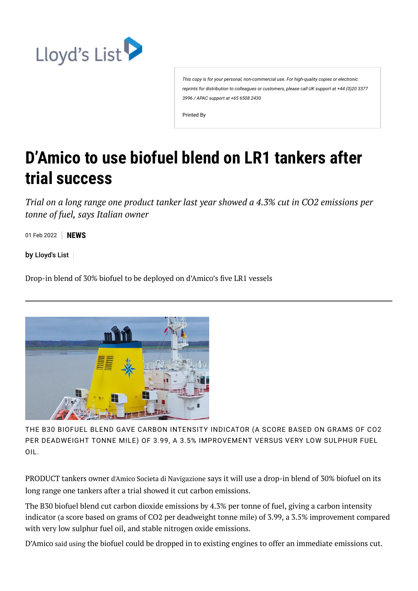

*This copy is for your personal, non-commercial use. For high-quality copies or electronic reprints for distribution to colleagues or customers, please call UK support at +44 (0)20 3377 3996 / APAC support at +65 6508 2430*

Printed By

## **D'Amico to use biofuel blend on LR1 tankers after trial success**

*Trial on a long range one product tanker last year showed a 4.3% cut in CO2 emissions per tonne of fuel, says Italian owner*

01 Feb 2022 **NEWS**

by [Lloyd's](https://lloydslist.maritimeintelligence.informa.com/authors/lloyds-list) List

Drop-in blend of 30% biofuel to be deployed on d'Amico's five LR1 vessels



THE B30 BIOFUEL BLEND GAVE CARBON INTENSITY INDICATOR (A SCORE BASED ON GRAMS OF CO2 PER DEADWEIGHT TONNE MILE) OF 3.99, A 3.5% IMPROVEMENT VERSUS VERY LOW SULPHUR FUEL OIL.

PRODUCT tankers owner d'Amico Societa di [Navigazione](https://www.seasearcher.com/company/3713/overview) says it will use a drop-in blend of 30% biofuel on its long range one tankers after a trial showed it cut carbon emissions.

The B30 biofuel blend cut carbon dioxide emissions by 4.3% per tonne of fuel, giving a carbon intensity indicator (a score based on grams of CO2 per deadweight tonne mile) of 3.99, a 3.5% improvement compared with very low sulphur fuel oil, and stable nitrogen oxide emissions.

D'Amico said [using](https://en.damicointernationalshipping.com/media/9254/pr_damico-group-led-decarbonization-trial-confirms-positive-reduction-in-carbon-emissions-010222.pdf) the biofuel could be dropped in to existing engines to offer an immediate emissions cut.